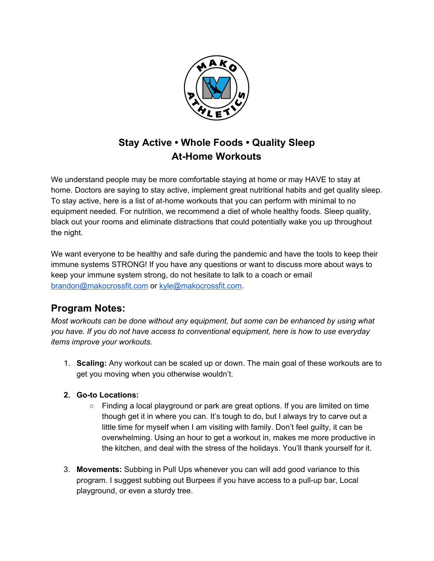

## **Stay Active • Whole Foods • Quality Sleep At-Home Workouts**

We understand people may be more comfortable staying at home or may HAVE to stay at home. Doctors are saying to stay active, implement great nutritional habits and get quality sleep. To stay active, here is a list of at-home workouts that you can perform with minimal to no equipment needed. For nutrition, we recommend a diet of whole healthy foods. Sleep quality, black out your rooms and eliminate distractions that could potentially wake you up throughout the night.

We want everyone to be healthy and safe during the pandemic and have the tools to keep their immune systems STRONG! If you have any questions or want to discuss more about ways to keep your immune system strong, do not hesitate to talk to a coach or email [brandon@makocrossfit.com](mailto:brandon@makocrossfit.com) or [kyle@makocrossfit.com](mailto:kyle@makocrossfit.com).

## **Program Notes:**

*Most workouts can be done without any equipment, but some can be enhanced by using what you have. If you do not have access to conventional equipment, here is how to use everyday items improve your workouts.*

- 1. **Scaling:** Any workout can be scaled up or down. The main goal of these workouts are to get you moving when you otherwise wouldn't.
- **2. Go-to Locations:**
	- $\circ$  Finding a local playground or park are great options. If you are limited on time though get it in where you can. It's tough to do, but I always try to carve out a little time for myself when I am visiting with family. Don't feel guilty, it can be overwhelming. Using an hour to get a workout in, makes me more productive in the kitchen, and deal with the stress of the holidays. You'll thank yourself for it.
- 3. **Movements:** Subbing in Pull Ups whenever you can will add good variance to this program. I suggest subbing out Burpees if you have access to a pull-up bar, Local playground, or even a sturdy tree.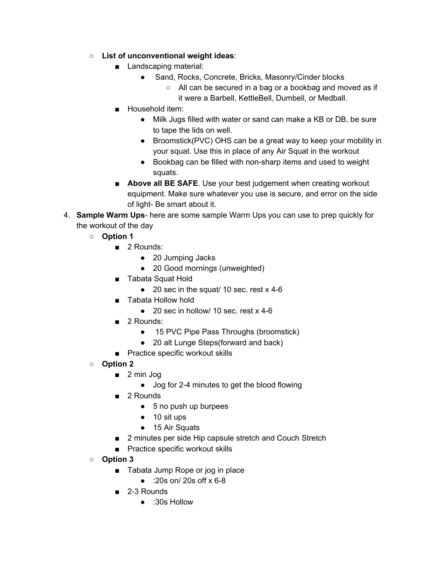- **List of unconventional weight ideas**:
	- Landscaping material:
		- Sand, Rocks, Concrete, Bricks, Masonry/Cinder blocks
			- All can be secured in a bag or a bookbag and moved as if it were a Barbell, KettleBell, Dumbell, or Medball.
	- Household item:
		- Milk Jugs filled with water or sand can make a KB or DB, be sure to tape the lids on well.
		- Broomstick(PVC) OHS can be a great way to keep your mobility in your squat. Use this in place of any Air Squat in the workout
		- Bookbag can be filled with non-sharp items and used to weight squats.
	- **Above all BE SAFE**. Use your best judgement when creating workout equipment. Make sure whatever you use is secure, and error on the side of light- Be smart about it.
- 4. **Sample Warm Ups** here are some sample Warm Ups you can use to prep quickly for the workout of the day
	- **○ Option 1**
		- 2 Rounds:
			- 20 Jumping Jacks
			- 20 Good mornings (unweighted)
		- Tabata Squat Hold
			- 20 sec in the squat/ 10 sec. rest x 4-6
		- Tabata Hollow hold
			- $\bullet$  20 sec in hollow/ 10 sec. rest  $\times$  4-6
		- 2 Rounds:
			- 15 PVC Pipe Pass Throughs (broomstick)
			- 20 alt Lunge Steps(forward and back)
		- Practice specific workout skills
	- **○ Option 2**
		- 2 min Jog
			- Jog for 2-4 minutes to get the blood flowing
		- 2 Rounds
			- 5 no push up burpees
			- 10 sit ups
			- 15 Air Squats
		- 2 minutes per side Hip capsule stretch and Couch Stretch
		- Practice specific workout skills
	- **○ Option 3**
		- Tabata Jump Rope or jog in place
			- $\bullet$  :20s on/ 20s off x 6-8
		- 2-3 Rounds
			- :30s Hollow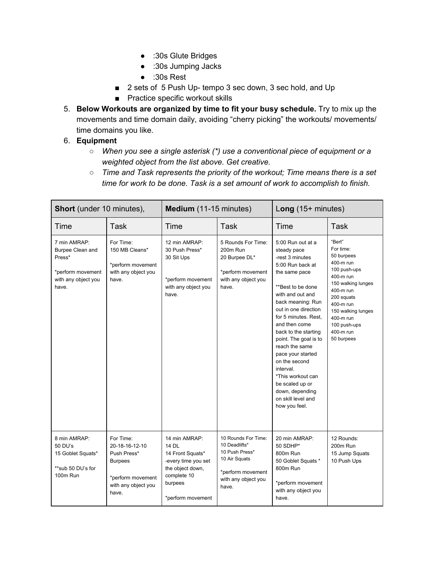- :30s Glute Bridges
- :30s Jumping Jacks
- :30s Rest
- 2 sets of 5 Push Up- tempo 3 sec down, 3 sec hold, and Up
- Practice specific workout skills
- 5. **Below Workouts are organized by time to fit your busy schedule.** Try to mix up the movements and time domain daily, avoiding "cherry picking" the workouts/ movements/ time domains you like.

## 6. **Equipment**

- *○ When you see a single asterisk (\*) use a conventional piece of equipment or a weighted object from the list above. Get creative.*
- *○ Time and Task represents the priority of the workout; Time means there is a set time for work to be done. Task is a set amount of work to accomplish to finish.*

| <b>Short</b> (under 10 minutes),                                                                |                                                                                                                   | Medium (11-15 minutes)                                                                                                               |                                                                                                                              | Long $(15+$ minutes)                                                                                                                                                                                                                                                                                                                                                                                                                            |                                                                                                                                                                                                                         |
|-------------------------------------------------------------------------------------------------|-------------------------------------------------------------------------------------------------------------------|--------------------------------------------------------------------------------------------------------------------------------------|------------------------------------------------------------------------------------------------------------------------------|-------------------------------------------------------------------------------------------------------------------------------------------------------------------------------------------------------------------------------------------------------------------------------------------------------------------------------------------------------------------------------------------------------------------------------------------------|-------------------------------------------------------------------------------------------------------------------------------------------------------------------------------------------------------------------------|
| Time                                                                                            | Task                                                                                                              | Time                                                                                                                                 | Task                                                                                                                         | Time                                                                                                                                                                                                                                                                                                                                                                                                                                            | Task                                                                                                                                                                                                                    |
| 7 min AMRAP:<br>Burpee Clean and<br>Press*<br>*perform movement<br>with any object you<br>have. | For Time:<br>150 MB Cleans*<br>*perform movement<br>with any object you<br>have.                                  | 12 min AMRAP:<br>30 Push Press*<br>30 Sit Ups<br>*perform movement<br>with any object you<br>have.                                   | 5 Rounds For Time:<br>200m Run<br>20 Burpee DL*<br>*perform movement<br>with any object you<br>have.                         | 5:00 Run out at a<br>steady pace<br>-rest 3 minutes<br>5:00 Run back at<br>the same pace<br>**Best to be done<br>with and out and<br>back meaning: Run<br>out in one direction<br>for 5 minutes. Rest.<br>and then come<br>back to the starting<br>point. The goal is to<br>reach the same<br>pace your started<br>on the second<br>interval.<br>*This workout can<br>be scaled up or<br>down, depending<br>on skill level and<br>how you feel. | "Bert"<br>For time:<br>50 burpees<br>400-m run<br>100 push-ups<br>400-m run<br>150 walking lunges<br>400-m run<br>200 squats<br>400-m run<br>150 walking lunges<br>400-m run<br>100 push-ups<br>400-m run<br>50 burpees |
| 8 min AMRAP:<br>$50$ DU's<br>15 Goblet Squats*<br>**sub 50 DU's for<br>100m Run                 | For Time:<br>20-18-16-12-10<br>Push Press*<br><b>Burpees</b><br>*perform movement<br>with any object you<br>have. | 14 min AMRAP:<br>14 DL<br>14 Front Squats*<br>-every time you set<br>the object down.<br>complete 10<br>burpees<br>*perform movement | 10 Rounds For Time:<br>10 Deadlifts*<br>10 Push Press*<br>10 Air Squats<br>*perform movement<br>with any object you<br>have. | 20 min AMRAP:<br>50 SDHP*<br>800m Run<br>50 Goblet Squats *<br>800m Run<br>*perform movement<br>with any object you<br>have.                                                                                                                                                                                                                                                                                                                    | 12 Rounds:<br>200m Run<br>15 Jump Squats<br>10 Push Ups                                                                                                                                                                 |